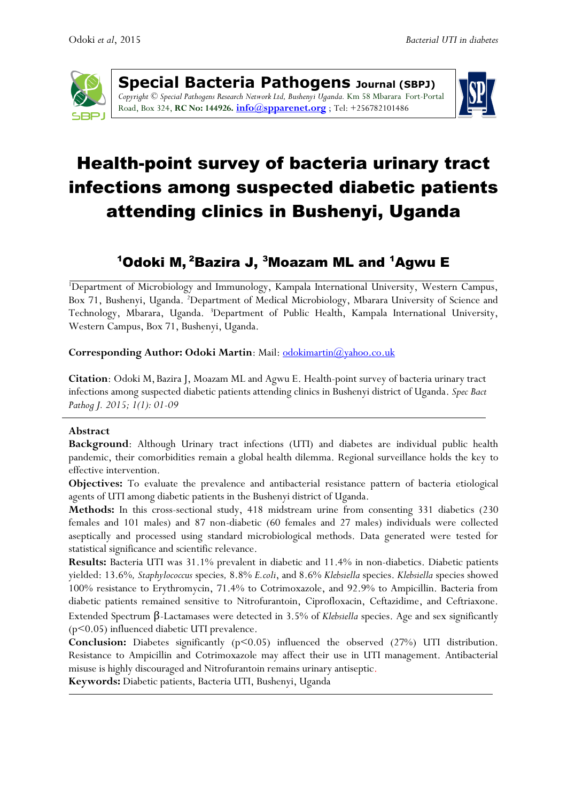

**Special Bacteria Pathogens Journal (SBPJ)** *Copyright © Special Pathogens Research Network Ltd, Bushenyi Uganda.* Km 58 Mbarara Fort-Portal Road, Box 324, **RC No: 144926. [info@spparenet.org](mailto:info@spparenet.org)** ; Tel: +256782101486



# Health-point survey of bacteria urinary tract infections among suspected diabetic patients attending clinics in Bushenyi, Uganda

# $^{\mathsf{1}}$ Odoki M, $^{\mathsf{2}}$ Bazira J,  $^{\mathsf{3}}$ Moazam ML and  $^{\mathsf{1}}$ Agwu E

<sup>1</sup>Department of Microbiology and Immunology, Kampala International University, Western Campus, Box 71, Bushenyi, Uganda. <sup>2</sup>Department of Medical Microbiology, Mbarara University of Science and Technology, Mbarara, Uganda. <sup>3</sup>Department of Public Health, Kampala International University, Western Campus, Box 71, Bushenyi, Uganda.

#### **Corresponding Author: Odoki Martin**: Mail: [odokimartin@yahoo.co.uk](mailto:odokimartin@yahoo.co.uk)

**Citation**: Odoki M, Bazira J, Moazam ML and Agwu E. Health-point survey of bacteria urinary tract infections among suspected diabetic patients attending clinics in Bushenyi district of Uganda. *Spec Bact Pathog J. 2015; 1(1): 01-09*

#### **Abstract**

**Background**: Although Urinary tract infections (UTI) and diabetes are individual public health pandemic, their comorbidities remain a global health dilemma. Regional surveillance holds the key to effective intervention.

**Objectives:** To evaluate the prevalence and antibacterial resistance pattern of bacteria etiological agents of UTI among diabetic patients in the Bushenyi district of Uganda.

**Methods:** In this cross-sectional study, 418 midstream urine from consenting 331 diabetics (230 females and 101 males) and 87 non-diabetic (60 females and 27 males) individuals were collected aseptically and processed using standard microbiological methods. Data generated were tested for statistical significance and scientific relevance.

**Results:** Bacteria UTI was 31.1% prevalent in diabetic and 11.4% in non-diabetics. Diabetic patients yielded: 13.6%*, Staphylococcus* species*,* 8.8% *E.coli*, and 8.6% *Klebsiella* species. *Klebsiella* species showed 100% resistance to Erythromycin, 71.4% to Cotrimoxazole, and 92.9% to Ampicillin. Bacteria from diabetic patients remained sensitive to Nitrofurantoin, Ciprofloxacin, Ceftazidime, and Ceftriaxone. Extended Spectrum β-Lactamases were detected in 3.5% of *Klebsiella* species. Age and sex significantly (p<0.05) influenced diabetic UTI prevalence.

**Conclusion:** Diabetes significantly (p<0.05) influenced the observed (27%) UTI distribution. Resistance to Ampicillin and Cotrimoxazole may affect their use in UTI management. Antibacterial misuse is highly discouraged and Nitrofurantoin remains urinary antiseptic.

**Keywords:** Diabetic patients, Bacteria UTI, Bushenyi, Uganda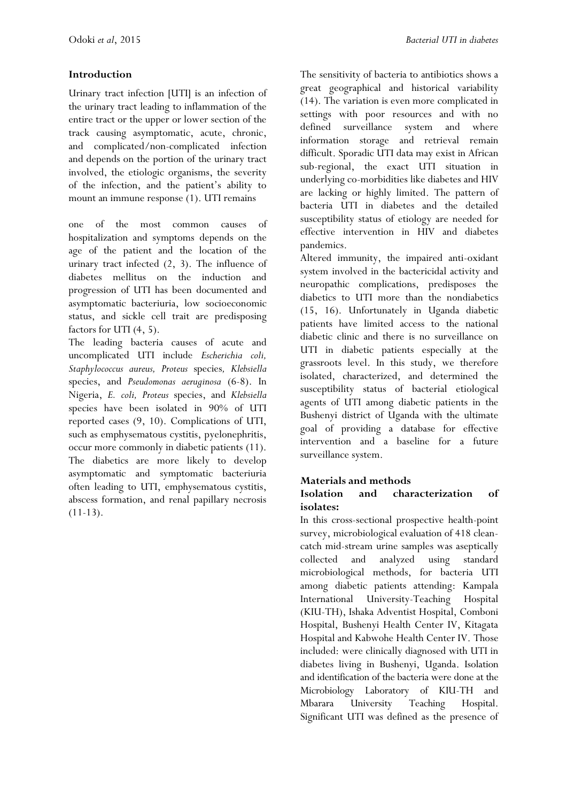#### **Introduction**

Urinary tract infection [UTI] is an infection of the urinary tract leading to inflammation of the entire tract or the upper or lower section of the track causing asymptomatic, acute, chronic, and complicated/non-complicated infection and depends on the portion of the urinary tract involved, the etiologic organisms, the severity of the infection, and the patient's ability to mount an immune response (1). UTI remains

one of the most common causes of hospitalization and symptoms depends on the age of the patient and the location of the urinary tract infected (2, 3). The influence of diabetes mellitus on the induction and progression of UTI has been documented and asymptomatic bacteriuria, low socioeconomic status, and sickle cell trait are predisposing factors for UTI (4, 5).

The leading bacteria causes of acute and uncomplicated UTI include *Escherichia coli, Staphylococcus aureus, Proteus* species*, Klebsiella*  species, and *Pseudomonas aeruginosa* (6-8). In Nigeria, *E. coli, Proteus* species, and *Klebsiella* species have been isolated in 90% of UTI reported cases (9, 10). Complications of UTI, such as emphysematous cystitis, pyelonephritis, occur more commonly in diabetic patients (11). The diabetics are more likely to develop asymptomatic and symptomatic bacteriuria often leading to UTI, emphysematous cystitis, abscess formation, and renal papillary necrosis  $(11-13)$ .

The sensitivity of bacteria to antibiotics shows a great geographical and historical variability (14). The variation is even more complicated in settings with poor resources and with no defined surveillance system and where information storage and retrieval remain difficult. Sporadic UTI data may exist in African sub-regional, the exact UTI situation in underlying co-morbidities like diabetes and HIV are lacking or highly limited. The pattern of bacteria UTI in diabetes and the detailed susceptibility status of etiology are needed for effective intervention in HIV and diabetes pandemics.

Altered immunity, the impaired anti-oxidant system involved in the bactericidal activity and neuropathic complications, predisposes the diabetics to UTI more than the nondiabetics (15, 16). Unfortunately in Uganda diabetic patients have limited access to the national diabetic clinic and there is no surveillance on UTI in diabetic patients especially at the grassroots level. In this study, we therefore isolated, characterized, and determined the susceptibility status of bacterial etiological agents of UTI among diabetic patients in the Bushenyi district of Uganda with the ultimate goal of providing a database for effective intervention and a baseline for a future surveillance system.

#### **Materials and methods**

#### **Isolation and characterization of isolates:**

In this cross-sectional prospective health-point survey, microbiological evaluation of 418 cleancatch mid-stream urine samples was aseptically collected and analyzed using standard microbiological methods, for bacteria UTI among diabetic patients attending: Kampala International University-Teaching Hospital (KIU-TH), Ishaka Adventist Hospital, Comboni Hospital, Bushenyi Health Center IV, Kitagata Hospital and Kabwohe Health Center IV. Those included: were clinically diagnosed with UTI in diabetes living in Bushenyi, Uganda. Isolation and identification of the bacteria were done at the Microbiology Laboratory of KIU-TH and Mbarara University Teaching Hospital. Significant UTI was defined as the presence of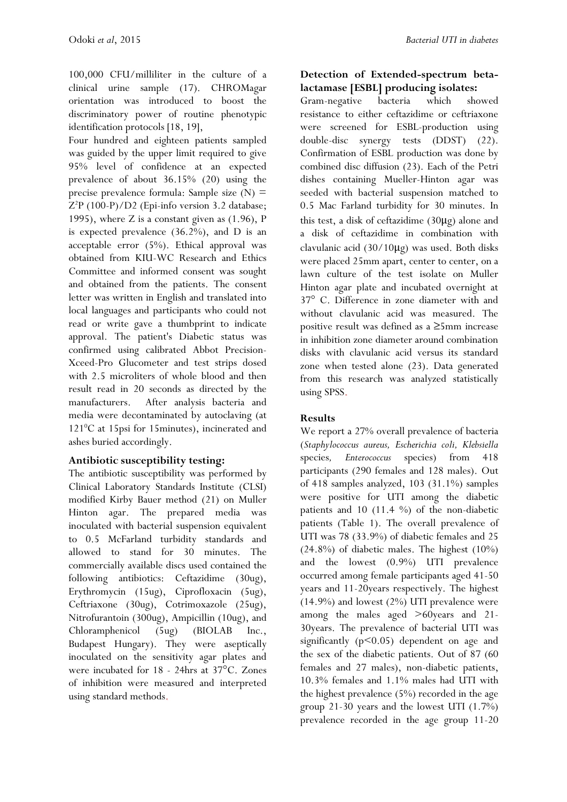100,000 CFU/milliliter in the culture of a clinical urine sample (17). CHROMagar orientation was introduced to boost the discriminatory power of routine phenotypic identification protocols [18, 19],

Four hundred and eighteen patients sampled was guided by the upper limit required to give 95% level of confidence at an expected prevalence of about 36.15% (20) using the precise prevalence formula: Sample size  $(N)$  = Z <sup>2</sup>P (100-P)/D2 (Epi-info version 3.2 database; 1995), where Z is a constant given as (1.96), P is expected prevalence (36.2%), and D is an acceptable error (5%). Ethical approval was obtained from KIU-WC Research and Ethics Committee and informed consent was sought and obtained from the patients. The consent letter was written in English and translated into local languages and participants who could not read or write gave a thumbprint to indicate approval. The patient's Diabetic status was confirmed using calibrated Abbot Precision-Xceed-Pro Glucometer and test strips dosed with 2.5 microliters of whole blood and then result read in 20 seconds as directed by the manufacturers. After analysis bacteria and media were decontaminated by autoclaving (at  $121^{\circ}$ C at 15psi for 15minutes), incinerated and ashes buried accordingly.

#### **Antibiotic susceptibility testing:**

The antibiotic susceptibility was performed by Clinical Laboratory Standards Institute (CLSI) modified Kirby Bauer method (21) on Muller Hinton agar. The prepared media was inoculated with bacterial suspension equivalent to 0.5 McFarland turbidity standards and allowed to stand for 30 minutes. The commercially available discs used contained the following antibiotics: Ceftazidime (30ug), Erythromycin (15ug), Ciprofloxacin (5ug), Ceftriaxone (30ug), Cotrimoxazole (25ug), Nitrofurantoin (300ug), Ampicillin (10ug), and Chloramphenicol (5ug) (BIOLAB Inc., Budapest Hungary). They were aseptically inoculated on the sensitivity agar plates and were incubated for 18 - 24hrs at 37°C. Zones of inhibition were measured and interpreted using standard methods.

### **Detection of Extended-spectrum betalactamase [ESBL] producing isolates:**

Gram-negative bacteria which showed resistance to either ceftazidime or ceftriaxone were screened for ESBL-production using double-disc synergy tests (DDST) (22). Confirmation of ESBL production was done by combined disc diffusion (23). Each of the Petri dishes containing Mueller-Hinton agar was seeded with bacterial suspension matched to 0.5 Mac Farland turbidity for 30 minutes. In this test, a disk of ceftazidime (30μg) alone and a disk of ceftazidime in combination with clavulanic acid (30/10μg) was used. Both disks were placed 25mm apart, center to center, on a lawn culture of the test isolate on Muller Hinton agar plate and incubated overnight at 37° C. Difference in zone diameter with and without clavulanic acid was measured. The positive result was defined as a ≥5mm increase in inhibition zone diameter around combination disks with clavulanic acid versus its standard zone when tested alone (23). Data generated from this research was analyzed statistically using SPSS.

#### **Results**

We report a 27% overall prevalence of bacteria (*Staphylococcus aureus, Escherichia coli, Klebsiella*  species*, Enterococcus* species) from 418 participants (290 females and 128 males). Out of 418 samples analyzed, 103 (31.1%) samples were positive for UTI among the diabetic patients and 10 (11.4  $\%$ ) of the non-diabetic patients (Table 1). The overall prevalence of UTI was 78 (33.9%) of diabetic females and 25 (24.8%) of diabetic males. The highest (10%) and the lowest (0.9%) UTI prevalence occurred among female participants aged 41-50 years and 11-20years respectively. The highest  $(14.9\%)$  and lowest  $(2\%)$  UTI prevalence were among the males aged >60years and 21- 30years. The prevalence of bacterial UTI was significantly  $(p<0.05)$  dependent on age and the sex of the diabetic patients. Out of 87 (60 females and 27 males), non-diabetic patients, 10.3% females and 1.1% males had UTI with the highest prevalence (5%) recorded in the age group 21-30 years and the lowest UTI (1.7%) prevalence recorded in the age group 11-20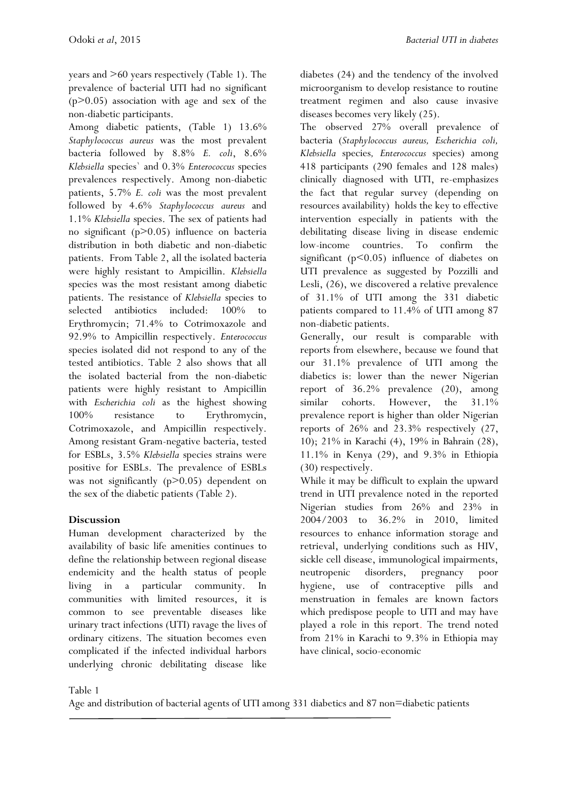years and >60 years respectively (Table 1). The prevalence of bacterial UTI had no significant  $(p>0.05)$  association with age and sex of the non-diabetic participants.

Among diabetic patients, (Table 1) 13.6% *Staphylococcus aureus* was the most prevalent bacteria followed by 8.8% *E. coli*, 8.6% *Klebsiella* species` and 0.3% *Enterococcus* species prevalences respectively. Among non-diabetic patients, 5.7% *E. coli* was the most prevalent followed by 4.6% *Staphylococcus aureus* and 1.1% *Klebsiella* species. The sex of patients had no significant (p>0.05) influence on bacteria distribution in both diabetic and non-diabetic patients. From Table 2, all the isolated bacteria were highly resistant to Ampicillin. *Klebsiella*  species was the most resistant among diabetic patients. The resistance of *Klebsiella* species to selected antibiotics included: 100% to Erythromycin; 71.4% to Cotrimoxazole and 92.9% to Ampicillin respectively. *Enterococcus* species isolated did not respond to any of the tested antibiotics. Table 2 also shows that all the isolated bacterial from the non-diabetic patients were highly resistant to Ampicillin with *Escherichia coli* as the highest showing 100% resistance to Erythromycin, Cotrimoxazole, and Ampicillin respectively. Among resistant Gram-negative bacteria, tested for ESBLs, 3.5% *Klebsiella* species strains were positive for ESBLs. The prevalence of ESBLs was not significantly (p>0.05) dependent on the sex of the diabetic patients (Table 2).

## **Discussion**

Human development characterized by the availability of basic life amenities continues to define the relationship between regional disease endemicity and the health status of people living in a particular community. In communities with limited resources, it is common to see preventable diseases like urinary tract infections (UTI) ravage the lives of ordinary citizens. The situation becomes even complicated if the infected individual harbors underlying chronic debilitating disease like diabetes (24) and the tendency of the involved microorganism to develop resistance to routine treatment regimen and also cause invasive diseases becomes very likely (25).

The observed 27% overall prevalence of bacteria (*Staphylococcus aureus, Escherichia coli, Klebsiella* species*, Enterococcus* species) among 418 participants (290 females and 128 males) clinically diagnosed with UTI, re-emphasizes the fact that regular survey (depending on resources availability) holds the key to effective intervention especially in patients with the debilitating disease living in disease endemic low-income countries. To confirm the significant ( $p$ <0.05) influence of diabetes on UTI prevalence as suggested by Pozzilli and Lesli, (26), we discovered a relative prevalence of 31.1% of UTI among the 331 diabetic patients compared to 11.4% of UTI among 87 non-diabetic patients.

Generally, our result is comparable with reports from elsewhere, because we found that our 31.1% prevalence of UTI among the diabetics is: lower than the newer Nigerian report of 36.2% prevalence (20), among similar cohorts. However, the 31.1% prevalence report is higher than older Nigerian reports of 26% and 23.3% respectively (27, 10); 21% in Karachi (4), 19% in Bahrain (28), 11.1% in Kenya (29), and 9.3% in Ethiopia (30) respectively.

While it may be difficult to explain the upward trend in UTI prevalence noted in the reported Nigerian studies from 26% and 23% in 2004/2003 to 36.2% in 2010, limited resources to enhance information storage and retrieval, underlying conditions such as HIV, sickle cell disease, immunological impairments, neutropenic disorders, pregnancy poor hygiene, use of contraceptive pills and menstruation in females are known factors which predispose people to UTI and may have played a role in this report. The trend noted from 21% in Karachi to 9.3% in Ethiopia may have clinical, socio-economic

Table 1

Age and distribution of bacterial agents of UTI among 331 diabetics and 87 non=diabetic patients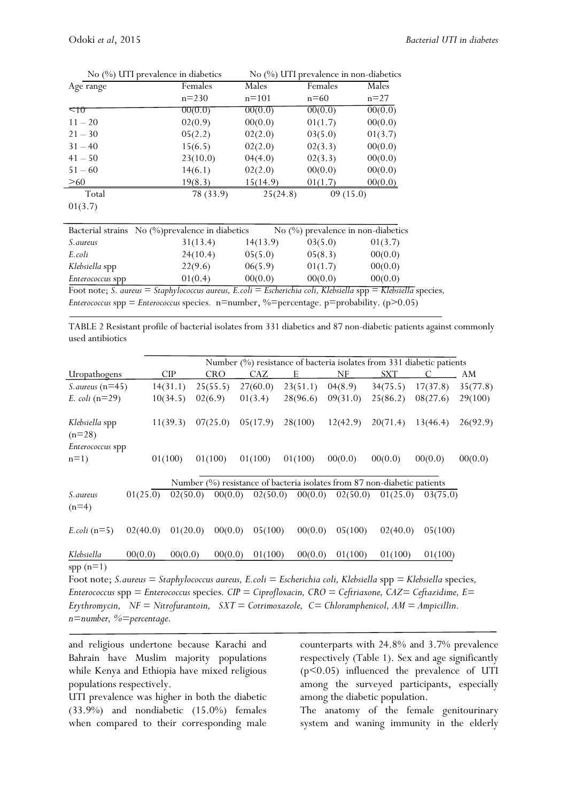|                                                                                        | No $(\%)$ UTI prevalence in diabetics | No $(\%)$ UTI prevalence in non-diabetics |          |         |  |  |  |  |  |
|----------------------------------------------------------------------------------------|---------------------------------------|-------------------------------------------|----------|---------|--|--|--|--|--|
| Age range                                                                              | Females                               | Males                                     | Females  | Males   |  |  |  |  |  |
|                                                                                        | $n = 230$                             | $n = 101$                                 | $n=60$   | $n=27$  |  |  |  |  |  |
| $<$ 10                                                                                 | 00(0.0)                               | 00(0.0)                                   | 00(0.0)  | 00(0.0) |  |  |  |  |  |
| $11 - 20$                                                                              | 02(0.9)                               | 00(0.0)                                   | 01(1.7)  | 00(0.0) |  |  |  |  |  |
| $21 - 30$                                                                              | 05(2.2)                               | 02(2.0)                                   | 03(5.0)  | 01(3.7) |  |  |  |  |  |
| $31 - 40$                                                                              | 15(6.5)                               | 02(2.0)                                   | 02(3.3)  | 00(0.0) |  |  |  |  |  |
| $41 - 50$                                                                              | 23(10.0)                              | 04(4.0)                                   | 02(3.3)  | 00(0.0) |  |  |  |  |  |
| $51 - 60$                                                                              | 14(6.1)                               | 02(2.0)                                   | 00(0.0)  | 00(0.0) |  |  |  |  |  |
| >60                                                                                    | 19(8.3)                               | 15(14.9)                                  | 01(1.7)  | 00(0.0) |  |  |  |  |  |
| Total                                                                                  | 78 (33.9)                             | 25(24.8)                                  | 09(15.0) |         |  |  |  |  |  |
| 01(3.7)                                                                                |                                       |                                           |          |         |  |  |  |  |  |
|                                                                                        |                                       |                                           |          |         |  |  |  |  |  |
| No (%) prevalence in non-diabetics<br>Bacterial strains No (%) prevalence in diabetics |                                       |                                           |          |         |  |  |  |  |  |

|                         | Bacterial strains No (%) prevalence in diabetics |          | $\overline{N}$ (%) prevalence in non-diabetics |         |
|-------------------------|--------------------------------------------------|----------|------------------------------------------------|---------|
| <i>S. aureus</i>        | 31(13.4)                                         | 14(13.9) | 03(5.0)                                        | 01(3.7) |
| E.coli                  | 24(10.4)                                         | 05(5.0)  | 05(8.3)                                        | 00(0.0) |
| Klebsiella spp          | 22(9.6)                                          | 06(5.9)  | 01(1.7)                                        | 00(0.0) |
| <i>Enterococcus</i> spp | 01(0.4)                                          | 00(0.0)  | 00(0.0)                                        | 00(0.0) |
|                         |                                                  |          | .                                              | $- - -$ |

Foot note; *S. aureus* = *Staphylococcus aureus, E.coli* = *Escherichia coli, Klebsiella* spp = *Klebsiella* species*, Enterococcus* spp *= Enterococcus* species*.* n=number, %=percentage. p=probability. (p>0.05)

TABLE 2 Resistant profile of bacterial isolates from 331 diabetics and 87 non-diabetic patients against commonly used antibiotics

|                                                                                                                       |          | Number (%) resistance of bacteria isolates from 331 diabetic patients |            |         |          |  |          |  |          |    |          |            |                                                                          |  |          |          |
|-----------------------------------------------------------------------------------------------------------------------|----------|-----------------------------------------------------------------------|------------|---------|----------|--|----------|--|----------|----|----------|------------|--------------------------------------------------------------------------|--|----------|----------|
| CIP<br>Uropathogens                                                                                                   |          |                                                                       | <b>CRO</b> |         | CAZ      |  | E        |  |          | NF |          | <b>SXT</b> |                                                                          |  | AM       |          |
| $S. aureus (n=45)$                                                                                                    |          | 14(31.1)                                                              |            |         | 25(55.5) |  | 27(60.0) |  | 23(51.1) |    | 04(8.9)  |            | 34(75.5)                                                                 |  | 17(37.8) | 35(77.8) |
| <i>E. coli</i> $(n=29)$                                                                                               |          | 10(34.5)                                                              |            | 02(6.9) |          |  | 01(3.4)  |  | 28(96.6) |    | 09(31.0) |            | 25(86.2)                                                                 |  | 08(27.6) | 29(100)  |
| Klebsiella spp<br>$(n=28)$                                                                                            |          | 11(39.3)                                                              |            |         | 07(25.0) |  | 05(17.9) |  | 28(100)  |    | 12(42.9) |            | 20(71.4)                                                                 |  | 13(46.4) | 26(92.9) |
| <i>Enterococcus</i> spp                                                                                               |          |                                                                       |            |         |          |  |          |  |          |    |          |            |                                                                          |  |          |          |
| $n=1$                                                                                                                 |          | 01(100)                                                               |            | 01(100) |          |  | 01(100)  |  | 01(100)  |    | 00(0.0)  |            | 00(0.0)                                                                  |  | 00(0.0)  | 00(0.0)  |
|                                                                                                                       |          |                                                                       |            |         |          |  |          |  |          |    |          |            | Number (%) resistance of bacteria isolates from 87 non-diabetic patients |  |          |          |
| <i>S.aureus</i><br>$(n=4)$                                                                                            | 01(25.0) |                                                                       | 02(50.0)   |         | 00(0.0)  |  | 02(50.0) |  | 00(0.0)  |    | 02(50.0) |            | 01(25.0)                                                                 |  | 03(75.0) |          |
| $E.$ coli (n=5)                                                                                                       | 02(40.0) |                                                                       | 01(20.0)   |         | 00(0.0)  |  | 05(100)  |  | 00(0.0)  |    | 05(100)  |            | 02(40.0)                                                                 |  | 05(100)  |          |
| Klebsiella                                                                                                            | 00(0.0)  |                                                                       | 00(0.0)    |         | 00(0.0)  |  | 01(100)  |  | 00(0.0)  |    | 01(100)  |            | 01(100)                                                                  |  | 01(100)  |          |
| $spp(n=1)$                                                                                                            |          |                                                                       |            |         |          |  |          |  |          |    |          |            |                                                                          |  |          |          |
| Foot note; S. aureus = Staphylococcus aureus, E. coli = Escherichia coli, Klebsiella spp = Klebsiella species,        |          |                                                                       |            |         |          |  |          |  |          |    |          |            |                                                                          |  |          |          |
| $E$ nteressesus sp $p = E$ nteressesus species $CIP = C$ inseflexasin $CRO = C$ eftriexane $CAP = C$ efteridime $E =$ |          |                                                                       |            |         |          |  |          |  |          |    |          |            |                                                                          |  |          |          |

*Enterococcus* spp *= Enterococcus* species*. CIP = Ciprofloxacin, CRO = Ceftriaxone, CAZ= Ceftazidime, E= Erythromycin, NF = Nitrofurantoin, SXT = Cotrimoxazole, C= Chloramphenicol, AM = Ampicillin. n=number, %=percentage.*

and religious undertone because Karachi and Bahrain have Muslim majority populations while Kenya and Ethiopia have mixed religious populations respectively.

UTI prevalence was higher in both the diabetic (33.9%) and nondiabetic (15.0%) females when compared to their corresponding male counterparts with 24.8% and 3.7% prevalence respectively (Table 1). Sex and age significantly (p<0.05) influenced the prevalence of UTI among the surveyed participants, especially among the diabetic population.

The anatomy of the female genitourinary system and waning immunity in the elderly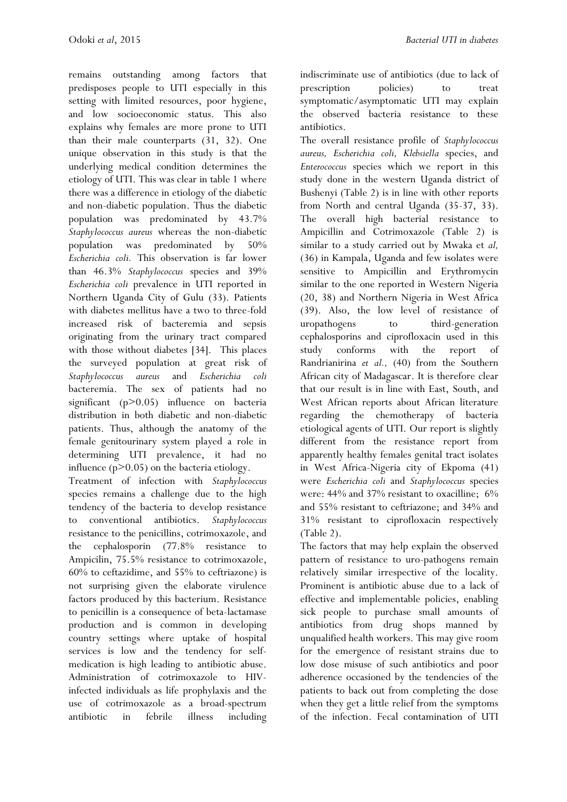remains outstanding among factors that predisposes people to UTI especially in this setting with limited resources, poor hygiene, and low socioeconomic status. This also explains why females are more prone to UTI than their male counterparts (31, 32). One unique observation in this study is that the underlying medical condition determines the etiology of UTI. This was clear in table 1 where there was a difference in etiology of the diabetic and non-diabetic population. Thus the diabetic population was predominated by 43.7% *Staphylococcus aureus* whereas the non-diabetic population was predominated by 50% *Escherichia coli.* This observation is far lower than 46.3% *Staphylococcus* species and 39% *Escherichia coli* prevalence in UTI reported in Northern Uganda City of Gulu (33). Patients with diabetes mellitus have a two to three-fold increased risk of bacteremia and sepsis originating from the urinary tract compared with those without diabetes [34]. This places the surveyed population at great risk of *Staphylococcus aureus* and *Escherichia coli* bacteremia. The sex of patients had no significant (p>0.05) influence on bacteria distribution in both diabetic and non-diabetic patients. Thus, although the anatomy of the female genitourinary system played a role in determining UTI prevalence, it had no influence  $(p>0.05)$  on the bacteria etiology.

Treatment of infection with *Staphylococcus* species remains a challenge due to the high tendency of the bacteria to develop resistance to conventional antibiotics. *Staphylococcus*  resistance to the penicillins, cotrimoxazole, and the cephalosporin (77.8% resistance to Ampicilin, 75.5% resistance to cotrimoxazole, 60% to ceftazidime, and 55% to ceftriazone) is not surprising given the elaborate virulence factors produced by this bacterium. Resistance to penicillin is a consequence of beta-lactamase production and is common in developing country settings where uptake of hospital services is low and the tendency for selfmedication is high leading to antibiotic abuse. Administration of cotrimoxazole to HIVinfected individuals as life prophylaxis and the use of cotrimoxazole as a broad-spectrum antibiotic in febrile illness including indiscriminate use of antibiotics (due to lack of prescription policies) to treat symptomatic/asymptomatic UTI may explain the observed bacteria resistance to these antibiotics.

The overall resistance profile of *Staphylococcus aureus, Escherichia coli, Klebsiella* species, and *Enterococcus* species which we report in this study done in the western Uganda district of Bushenyi (Table 2) is in line with other reports from North and central Uganda (35-37, 33). The overall high bacterial resistance to Ampicillin and Cotrimoxazole (Table 2) is similar to a study carried out by Mwaka et *al,* (36) in Kampala, Uganda and few isolates were sensitive to Ampicillin and Erythromycin similar to the one reported in Western Nigeria (20, 38) and Northern Nigeria in West Africa (39). Also, the low level of resistance of uropathogens to third-generation cephalosporins and ciprofloxacin used in this study conforms with the report of Randrianirina *et al.,* (40) from the Southern African city of Madagascar. It is therefore clear that our result is in line with East, South, and West African reports about African literature regarding the chemotherapy of bacteria etiological agents of UTI. Our report is slightly different from the resistance report from apparently healthy females genital tract isolates in West Africa-Nigeria city of Ekpoma (41) were *Escherichia coli* and *Staphylococcus* species were: 44% and 37% resistant to oxacilline; 6% and 55% resistant to ceftriazone; and 34% and 31% resistant to ciprofloxacin respectively (Table 2).

The factors that may help explain the observed pattern of resistance to uro-pathogens remain relatively similar irrespective of the locality. Prominent is antibiotic abuse due to a lack of effective and implementable policies, enabling sick people to purchase small amounts of antibiotics from drug shops manned by unqualified health workers. This may give room for the emergence of resistant strains due to low dose misuse of such antibiotics and poor adherence occasioned by the tendencies of the patients to back out from completing the dose when they get a little relief from the symptoms of the infection. Fecal contamination of UTI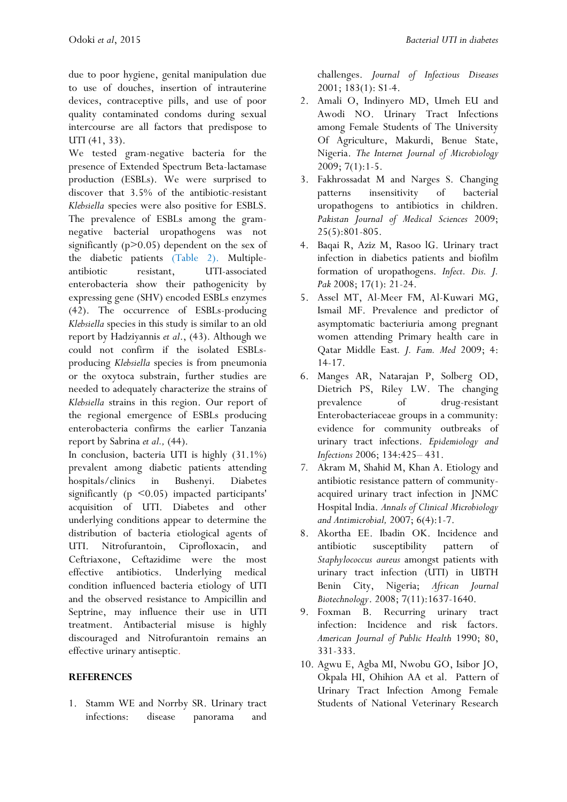due to poor hygiene, genital manipulation due to use of douches, insertion of intrauterine devices, contraceptive pills, and use of poor quality contaminated condoms during sexual intercourse are all factors that predispose to UTI (41, 33).

We tested gram-negative bacteria for the presence of Extended Spectrum Beta-lactamase production (ESBLs). We were surprised to discover that 3.5% of the antibiotic-resistant *Klebsiella* species were also positive for ESBLS. The prevalence of ESBLs among the gramnegative bacterial uropathogens was not significantly  $(p>0.05)$  dependent on the sex of the diabetic patients (Table 2). Multipleantibiotic resistant, UTI-associated enterobacteria show their pathogenicity by expressing gene (SHV) encoded ESBLs enzymes (42). The occurrence of ESBLs-producing *Klebsiella* species in this study is similar to an old report by Hadziyannis *et al*., (43). Although we could not confirm if the isolated ESBLsproducing *Klebsiella* species is from pneumonia or the oxytoca substrain, further studies are needed to adequately characterize the strains of *Klebsiella* strains in this region. Our report of the regional emergence of ESBLs producing enterobacteria confirms the earlier Tanzania report by Sabrina *et al.,* (44).

In conclusion, bacteria UTI is highly (31.1%) prevalent among diabetic patients attending hospitals/clinics in Bushenyi. Diabetes significantly ( $p \leq 0.05$ ) impacted participants' acquisition of UTI. Diabetes and other underlying conditions appear to determine the distribution of bacteria etiological agents of UTI. Nitrofurantoin, Ciprofloxacin, and Ceftriaxone, Ceftazidime were the most effective antibiotics. Underlying medical condition influenced bacteria etiology of UTI and the observed resistance to Ampicillin and Septrine, may influence their use in UTI treatment. Antibacterial misuse is highly discouraged and Nitrofurantoin remains an effective urinary antiseptic.

#### **REFERENCES**

1. Stamm WE and Norrby SR. Urinary tract infections: disease panorama and challenges. *Journal of Infectious Diseases* 2001; 183(1): S1-4.

- 2. Amali O, Indinyero MD, Umeh EU and Awodi NO. Urinary Tract Infections among Female Students of The University Of Agriculture, Makurdi, Benue State, Nigeria. *The Internet Journal of Microbiology* 2009; 7(1):1-5.
- 3. Fakhrossadat M and Narges S. Changing patterns insensitivity of bacterial uropathogens to antibiotics in children. *Pakistan Journal of Medical Sciences* 2009; 25(5):801-805.
- 4. Baqai R, Aziz M, Rasoo lG. Urinary tract infection in diabetics patients and biofilm formation of uropathogens. *Infect. Dis. J. Pak* 2008; 17(1): 21-24.
- 5. Assel MT, Al-Meer FM, Al-Kuwari MG, Ismail MF. Prevalence and predictor of asymptomatic bacteriuria among pregnant women attending Primary health care in Qatar Middle East*. J. Fam. Med* 2009; 4: 14-17.
- 6. Manges AR, Natarajan P, Solberg OD, Dietrich PS, Riley LW. The changing prevalence of drug-resistant Enterobacteriaceae groups in a community: evidence for community outbreaks of urinary tract infections. *Epidemiology and Infections* 2006; 134:425– 431.
- *7.* Akram M, Shahid M, Khan A. Etiology and antibiotic resistance pattern of communityacquired urinary tract infection in JNMC Hospital India. *Annals of Clinical Microbiology and Antimicrobial,* 2007; 6(4):1-7.
- 8. Akortha EE. Ibadin OK. Incidence and antibiotic susceptibility pattern of *Staphylococcus aureus* amongst patients with urinary tract infection (UTI) in UBTH Benin City, Nigeria; *African Journal Biotechnology*. 2008; 7(11):1637-1640.
- 9. Foxman B. Recurring urinary tract infection: Incidence and risk factors. *American Journal of Public Health* 1990; 80, 331-333.
- 10. Agwu E, Agba MI, Nwobu GO, Isibor JO, Okpala HI, Ohihion AA et al. Pattern of Urinary Tract Infection Among Female Students of National Veterinary Research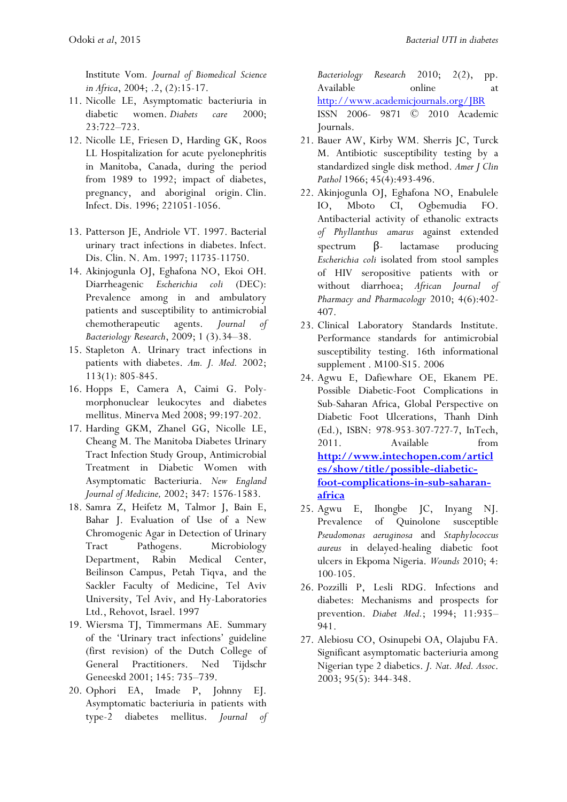Institute Vom*. Journal of Biomedical Science in Africa*, 2004; .2, (2):15-17.

- 11. Nicolle LE, Asymptomatic bacteriuria in diabetic women. *Diabets care* 2000; 23:722–723.
- 12. Nicolle LE, Friesen D, Harding GK, Roos LL Hospitalization for acute pyelonephritis in Manitoba, Canada, during the period from 1989 to 1992; impact of diabetes, pregnancy, and aboriginal origin. Clin. Infect. Dis. 1996; 221051-1056.
- 13. Patterson JE, Andriole VT. 1997. Bacterial urinary tract infections in diabetes. Infect. Dis. Clin. N. Am. 1997; 11735-11750.
- 14. Akinjogunla OJ, Eghafona NO, Ekoi OH. Diarrheagenic *Escherichia coli* (DEC): Prevalence among in and ambulatory patients and susceptibility to antimicrobial chemotherapeutic agents. *Journal of Bacteriology Research*, 2009; 1 (3).34–38.
- 15. Stapleton A. Urinary tract infections in patients with diabetes. *Am. J. Med.* 2002; 113(1): 805-845.
- 16. Hopps E, Camera A, Caimi G. Polymorphonuclear leukocytes and diabetes mellitus. Minerva Med 2008; 99:197-202.
- 17. Harding GKM, Zhanel GG, Nicolle LE, Cheang M. The Manitoba Diabetes Urinary Tract Infection Study Group, Antimicrobial Treatment in Diabetic Women with Asymptomatic Bacteriuria. *New England Journal of Medicine,* 2002; 347: 1576-1583.
- 18. Samra Z, Heifetz M, Talmor J, Bain E, Bahar J. Evaluation of Use of a New Chromogenic Agar in Detection of Urinary Tract Pathogens. Microbiology Department, Rabin Medical Center, Beilinson Campus, Petah Tiqva, and the Sackler Faculty of Medicine, Tel Aviv University, Tel Aviv, and Hy-Laboratories Ltd., Rehovot, Israel. 1997
- 19. Wiersma TJ, Timmermans AE. Summary of the 'Urinary tract infections' guideline (first revision) of the Dutch College of General Practitioners. Ned Tijdschr Geneeskd 2001; 145: 735–739.
- 20. Ophori EA, Imade P, Johnny EJ. Asymptomatic bacteriuria in patients with type-2 diabetes mellitus. *Journal of*

*Bacteriology Research* 2010; 2(2), pp. Available online at <http://www.academicjournals.org/JBR> ISSN 2006- 9871 © 2010 Academic Journals.

- 21. Bauer AW, Kirby WM. Sherris JC, Turck M. Antibiotic susceptibility testing by a standardized single disk method. *Amer J Clin Pathol* 1966; 45(4):493-496.
- 22. Akinjogunla OJ, Eghafona NO, Enabulele IO, Mboto CI, Ogbemudia FO. Antibacterial activity of ethanolic extracts *of Phyllanthus amarus* against extended spectrum  $β$ - lactamase producing *Escherichia coli* isolated from stool samples of HIV seropositive patients with or without diarrhoea; *African Journal of Pharmacy and Pharmacology* 2010; 4(6):402- 407.
- 23. Clinical Laboratory Standards Institute. Performance standards for antimicrobial susceptibility testing. 16th informational supplement . M100-S15. 2006
- 24. Agwu E, Dafiewhare OE, Ekanem PE. Possible Diabetic-Foot Complications in Sub-Saharan Africa, Global Perspective on Diabetic Foot Ulcerations, Thanh Dinh (Ed.), ISBN: 978-953-307-727-7, InTech, 2011. Available from **[http://www.intechopen.com/articl](http://www.intechopen.com/articles/show/title/possible-diabetic-foot-complications-in-sub-saharan-africa) [es/show/title/possible-diabetic](http://www.intechopen.com/articles/show/title/possible-diabetic-foot-complications-in-sub-saharan-africa)[foot-complications-in-sub-saharan](http://www.intechopen.com/articles/show/title/possible-diabetic-foot-complications-in-sub-saharan-africa)[africa](http://www.intechopen.com/articles/show/title/possible-diabetic-foot-complications-in-sub-saharan-africa)**
- 25. Agwu E, Ihongbe JC, Inyang NJ. Prevalence of Quinolone susceptible *Pseudomonas aeruginosa* and *Staphylococcus aureus* in delayed-healing diabetic foot ulcers in Ekpoma Nigeria. *Wounds* 2010; 4: 100-105.
- 26. Pozzilli P, Lesli RDG. Infections and diabetes: Mechanisms and prospects for prevention. *Diabet Med.*; 1994; 11:935– 941.
- 27. Alebiosu CO, Osinupebi OA, Olajubu FA. Significant asymptomatic bacteriuria among Nigerian type 2 diabetics. *J. Nat. Med. Assoc*. 2003; 95(5): 344-348.